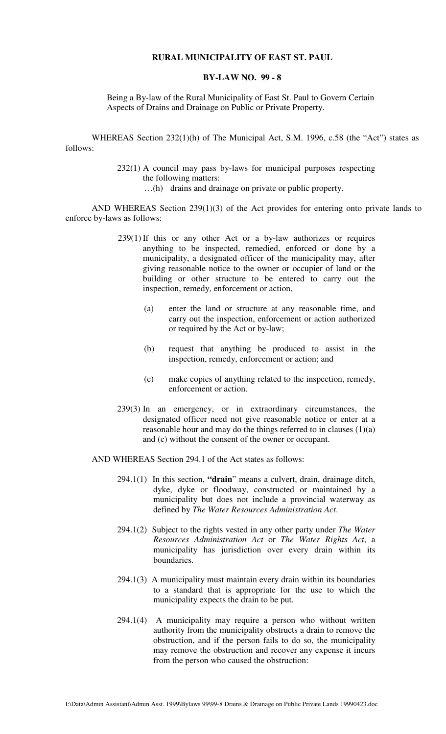### **RURAL MUNICIPALITY OF EAST ST. PAUL**

### **BY-LAW NO. 99 - 8**

Being a By-law of the Rural Municipality of East St. Paul to Govern Certain Aspects of Drains and Drainage on Public or Private Property.

WHEREAS Section 232(1)(h) of The Municipal Act, S.M. 1996, c.58 (the "Act") states as follows:

> 232(1) A council may pass by-laws for municipal purposes respecting the following matters:

> > …(h) drains and drainage on private or public property.

 AND WHEREAS Section 239(1)(3) of the Act provides for entering onto private lands to enforce by-laws as follows:

- 239(1) If this or any other Act or a by-law authorizes or requires anything to be inspected, remedied, enforced or done by a municipality, a designated officer of the municipality may, after giving reasonable notice to the owner or occupier of land or the building or other structure to be entered to carry out the inspection, remedy, enforcement or action,
	- (a) enter the land or structure at any reasonable time, and carry out the inspection, enforcement or action authorized or required by the Act or by-law;
	- (b) request that anything be produced to assist in the inspection, remedy, enforcement or action; and
	- (c) make copies of anything related to the inspection, remedy, enforcement or action.
- 239(3) In an emergency, or in extraordinary circumstances, the designated officer need not give reasonable notice or enter at a reasonable hour and may do the things referred to in clauses (1)(a) and (c) without the consent of the owner or occupant.

AND WHEREAS Section 294.1 of the Act states as follows:

- 294.1(1) In this section, **"drain**" means a culvert, drain, drainage ditch, dyke, dyke or floodway, constructed or maintained by a municipality but does not include a provincial waterway as defined by *The Water Resources Administration Act*.
- 294.1(2) Subject to the rights vested in any other party under *The Water Resources Administration Act* or *The Water Rights Act*, a municipality has jurisdiction over every drain within its boundaries.
- 294.1(3) A municipality must maintain every drain within its boundaries to a standard that is appropriate for the use to which the municipality expects the drain to be put.
- 294.1(4) A municipality may require a person who without written authority from the municipality obstructs a drain to remove the obstruction, and if the person fails to do so, the municipality may remove the obstruction and recover any expense it incurs from the person who caused the obstruction: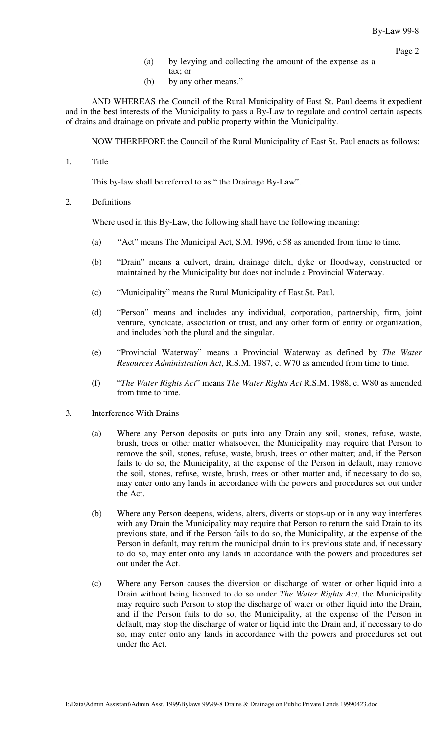- (a) by levying and collecting the amount of the expense as a
- tax; or (b) by any other means."

 AND WHEREAS the Council of the Rural Municipality of East St. Paul deems it expedient and in the best interests of the Municipality to pass a By-Law to regulate and control certain aspects of drains and drainage on private and public property within the Municipality.

NOW THEREFORE the Council of the Rural Municipality of East St. Paul enacts as follows:

1. Title

This by-law shall be referred to as " the Drainage By-Law".

2. Definitions

Where used in this By-Law, the following shall have the following meaning:

- (a) "Act" means The Municipal Act, S.M. 1996, c.58 as amended from time to time.
- (b) "Drain" means a culvert, drain, drainage ditch, dyke or floodway, constructed or maintained by the Municipality but does not include a Provincial Waterway.
- (c) "Municipality" means the Rural Municipality of East St. Paul.
- (d) "Person" means and includes any individual, corporation, partnership, firm, joint venture, syndicate, association or trust, and any other form of entity or organization, and includes both the plural and the singular.
- (e) "Provincial Waterway" means a Provincial Waterway as defined by *The Water Resources Administration Act*, R.S.M. 1987, c. W70 as amended from time to time.
- (f) "*The Water Rights Act*" means *The Water Rights Act* R.S.M. 1988, c. W80 as amended from time to time.

#### 3. Interference With Drains

- (a) Where any Person deposits or puts into any Drain any soil, stones, refuse, waste, brush, trees or other matter whatsoever, the Municipality may require that Person to remove the soil, stones, refuse, waste, brush, trees or other matter; and, if the Person fails to do so, the Municipality, at the expense of the Person in default, may remove the soil, stones, refuse, waste, brush, trees or other matter and, if necessary to do so, may enter onto any lands in accordance with the powers and procedures set out under the Act.
- (b) Where any Person deepens, widens, alters, diverts or stops-up or in any way interferes with any Drain the Municipality may require that Person to return the said Drain to its previous state, and if the Person fails to do so, the Municipality, at the expense of the Person in default, may return the municipal drain to its previous state and, if necessary to do so, may enter onto any lands in accordance with the powers and procedures set out under the Act.
- (c) Where any Person causes the diversion or discharge of water or other liquid into a Drain without being licensed to do so under *The Water Rights Act*, the Municipality may require such Person to stop the discharge of water or other liquid into the Drain, and if the Person fails to do so, the Municipality, at the expense of the Person in default, may stop the discharge of water or liquid into the Drain and, if necessary to do so, may enter onto any lands in accordance with the powers and procedures set out under the Act.